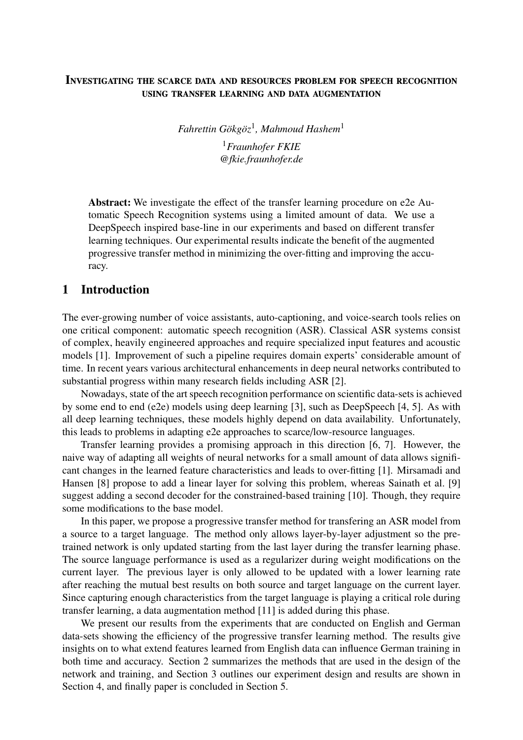### Investigating the scarce data and resources problem for speech recognition using transfer learning and data augmentation

*Fahrettin Gökgöz*<sup>1</sup> *, Mahmoud Hashem*<sup>1</sup> <sup>1</sup>*Fraunhofer FKIE [@fkie.fraunhofer.de](mailto:@fkie.fraunhofer.de)*

Abstract: We investigate the effect of the transfer learning procedure on e2e Automatic Speech Recognition systems using a limited amount of data. We use a DeepSpeech inspired base-line in our experiments and based on different transfer learning techniques. Our experimental results indicate the benefit of the augmented progressive transfer method in minimizing the over-fitting and improving the accuracy.

#### 1 Introduction

The ever-growing number of voice assistants, auto-captioning, and voice-search tools relies on one critical component: automatic speech recognition (ASR). Classical ASR systems consist of complex, heavily engineered approaches and require specialized input features and acoustic models [\[1\]](#page-5-0). Improvement of such a pipeline requires domain experts' considerable amount of time. In recent years various architectural enhancements in deep neural networks contributed to substantial progress within many research fields including ASR [\[2\]](#page-5-1).

Nowadays, state of the art speech recognition performance on scientific data-sets is achieved by some end to end (e2e) models using deep learning [\[3\]](#page-5-2), such as DeepSpeech [\[4,](#page-5-3) [5\]](#page-5-4). As with all deep learning techniques, these models highly depend on data availability. Unfortunately, this leads to problems in adapting e2e approaches to scarce/low-resource languages.

Transfer learning provides a promising approach in this direction [\[6,](#page-5-5) [7\]](#page-5-6). However, the naive way of adapting all weights of neural networks for a small amount of data allows significant changes in the learned feature characteristics and leads to over-fitting [\[1\]](#page-5-0). Mirsamadi and Hansen [\[8\]](#page-5-7) propose to add a linear layer for solving this problem, whereas Sainath et al. [\[9\]](#page-5-8) suggest adding a second decoder for the constrained-based training [\[10\]](#page-5-9). Though, they require some modifications to the base model.

In this paper, we propose a progressive transfer method for transfering an ASR model from a source to a target language. The method only allows layer-by-layer adjustment so the pretrained network is only updated starting from the last layer during the transfer learning phase. The source language performance is used as a regularizer during weight modifications on the current layer. The previous layer is only allowed to be updated with a lower learning rate after reaching the mutual best results on both source and target language on the current layer. Since capturing enough characteristics from the target language is playing a critical role during transfer learning, a data augmentation method [\[11\]](#page-6-0) is added during this phase.

We present our results from the experiments that are conducted on English and German data-sets showing the efficiency of the progressive transfer learning method. The results give insights on to what extend features learned from English data can influence German training in both time and accuracy. Section [2](#page-1-0) summarizes the methods that are used in the design of the network and training, and Section [3](#page-2-0) outlines our experiment design and results are shown in Section [4,](#page-4-0) and finally paper is concluded in Section [5.](#page-5-10)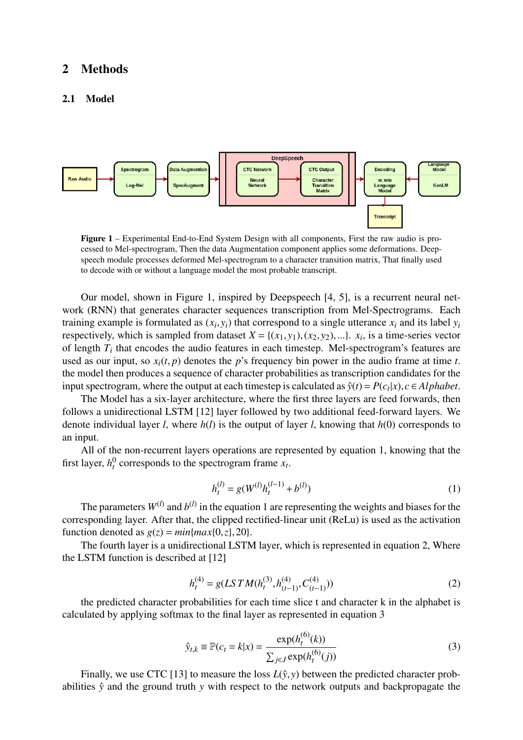#### <span id="page-1-0"></span>2 Methods

#### <span id="page-1-5"></span>2.1 Model

<span id="page-1-1"></span>

Figure 1 – Experimental End-to-End System Design with all components, First the raw audio is processed to Mel-spectrogram, Then the data Augmentation component applies some deformations. Deepspeech module processes deformed Mel-spectrogram to a character transition matrix, That finally used to decode with or without a language model the most probable transcript.

Our model, shown in Figure [1,](#page-1-1) inspired by Deepspeech [\[4,](#page-5-3) [5\]](#page-5-4), is a recurrent neural network (RNN) that generates character sequences transcription from Mel-Spectrograms. Each training example is formulated as  $(x_i, y_i)$  that correspond to a single utterance  $x_i$  and its label  $y_i$  respectively which is sampled from dataset  $X = \{(x, y_i) \mid (x, y_0) \in \mathbb{R}^n\}$  is a time-series vector respectively, which is sampled from dataset  $X = \{(x_1, y_1), (x_2, y_2), ...\}$ .  $x_i$ , is a time-series vector<br>of length  $T_i$  that encodes the audio features in each timester. Mel-spectrogram's features are of length  $T_i$  that encodes the audio features in each timestep. Mel-spectrogram's features are used as our input, so  $x_i(t, p)$  denotes the *p*'s frequency bin power in the audio frame at time *t*. the model then produces a sequence of character probabilities as transcription candidates for the input spectrogram, where the output at each timestep is calculated as  $\hat{y}(t) = P(c_t|x), c ∈ Alphabet$ .<br>The Model has a six-layer architecture, where the first three layers are feed forwards, then

The Model has a six-layer architecture, where the first three layers are feed forwards, then follows a unidirectional LSTM [\[12\]](#page-6-1) layer followed by two additional feed-forward layers. We denote individual layer *l*, where *h*(*l*) is the output of layer *l*, knowing that *h*(0) corresponds to an input.

<span id="page-1-2"></span>All of the non-recurrent layers operations are represented by equation [1,](#page-1-2) knowing that the first layer,  $h_t^0$  corresponds to the spectrogram frame  $x_t$ .

$$
h_t^{(l)} = g(W^{(l)}h_t^{(l-1)} + b^{(l)})
$$
\n(1)

The parameters  $W^{(l)}$  and  $b^{(l)}$  in the equation [1](#page-1-2) are representing the weights and biases for the corresponding layer. After that, the clipped rectified-linear unit (ReLu) is used as the activation function denoted as  $g(z) = min\{max\{0, z\}, 20\}.$ 

<span id="page-1-3"></span>The fourth layer is a unidirectional LSTM layer, which is represented in equation [2,](#page-1-3) Where the LSTM function is described at [\[12\]](#page-6-1)

$$
h_t^{(4)} = g(LSTM(h_t^{(3)}, h_{(t-1)}^{(4)}, C_{(t-1)}^{(4)}))
$$
\n(2)

<span id="page-1-4"></span>the predicted character probabilities for each time slice t and character k in the alphabet is calculated by applying softmax to the final layer as represented in equation [3](#page-1-4)

$$
\hat{y}_{t,k} \equiv \mathbb{P}(c_t = k | x) = \frac{\exp(h_t^{(6)}(k))}{\sum_{j \in J} \exp(h_t^{(6)}(j))}
$$
\n(3)

Finally, we use CTC [\[13\]](#page-6-2) to measure the loss  $L(\hat{y}, y)$  between the predicted character probabilities  $\hat{y}$  and the ground truth  $y$  with respect to the network outputs and backpropagate the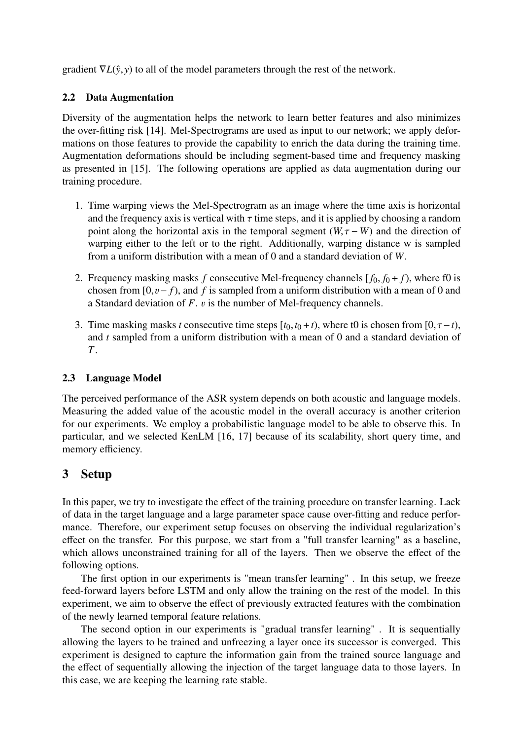gradient  $\nabla L(\hat{y}, y)$  to all of the model parameters through the rest of the network.

### 2.2 Data Augmentation

Diversity of the augmentation helps the network to learn better features and also minimizes the over-fitting risk [\[14\]](#page-6-3). Mel-Spectrograms are used as input to our network; we apply deformations on those features to provide the capability to enrich the data during the training time. Augmentation deformations should be including segment-based time and frequency masking as presented in [\[15\]](#page-6-4). The following operations are applied as data augmentation during our training procedure.

- 1. Time warping views the Mel-Spectrogram as an image where the time axis is horizontal and the frequency axis is vertical with  $\tau$  time steps, and it is applied by choosing a random point along the horizontal axis in the temporal segment  $(W, \tau - W)$  and the direction of warping either to the left or to the right. Additionally, warping distance w is sampled from a uniform distribution with a mean of 0 and a standard deviation of *W*.
- 2. Frequency masking masks  $f$  consecutive Mel-frequency channels  $[f_0, f_0 + f)$ , where f0 is chosen from [0, $v - f$ ), and *f* is sampled from a uniform distribution with a mean of 0 and a Standard deviation of  $F$ .  $v$  is the number of Mel-frequency channels.
- 3. Time masking masks *t* consecutive time steps  $[t_0, t_0 + t)$ , where t0 is chosen from  $[0, \tau t)$ , and *t* sampled from a uniform distribution with a mean of 0 and a standard deviation of *T*.

### 2.3 Language Model

The perceived performance of the ASR system depends on both acoustic and language models. Measuring the added value of the acoustic model in the overall accuracy is another criterion for our experiments. We employ a probabilistic language model to be able to observe this. In particular, and we selected KenLM [\[16,](#page-6-5) [17\]](#page-6-6) because of its scalability, short query time, and memory efficiency.

# <span id="page-2-0"></span>3 Setup

In this paper, we try to investigate the effect of the training procedure on transfer learning. Lack of data in the target language and a large parameter space cause over-fitting and reduce performance. Therefore, our experiment setup focuses on observing the individual regularization's effect on the transfer. For this purpose, we start from a "full transfer learning" as a baseline, which allows unconstrained training for all of the layers. Then we observe the effect of the following options.

The first option in our experiments is "mean transfer learning" . In this setup, we freeze feed-forward layers before LSTM and only allow the training on the rest of the model. In this experiment, we aim to observe the effect of previously extracted features with the combination of the newly learned temporal feature relations.

The second option in our experiments is "gradual transfer learning" . It is sequentially allowing the layers to be trained and unfreezing a layer once its successor is converged. This experiment is designed to capture the information gain from the trained source language and the effect of sequentially allowing the injection of the target language data to those layers. In this case, we are keeping the learning rate stable.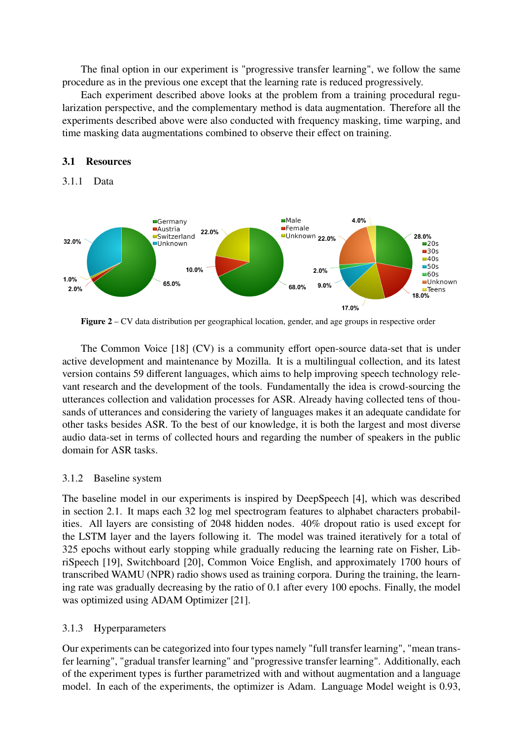The final option in our experiment is "progressive transfer learning", we follow the same procedure as in the previous one except that the learning rate is reduced progressively.

Each experiment described above looks at the problem from a training procedural regularization perspective, and the complementary method is data augmentation. Therefore all the experiments described above were also conducted with frequency masking, time warping, and time masking data augmentations combined to observe their effect on training.

#### 3.1 Resources

#### 3.1.1 Data



Figure 2 – CV data distribution per geographical location, gender, and age groups in respective order

The Common Voice [\[18\]](#page-6-7) (CV) is a community effort open-source data-set that is under active development and maintenance by Mozilla. It is a multilingual collection, and its latest version contains 59 different languages, which aims to help improving speech technology relevant research and the development of the tools. Fundamentally the idea is crowd-sourcing the utterances collection and validation processes for ASR. Already having collected tens of thousands of utterances and considering the variety of languages makes it an adequate candidate for other tasks besides ASR. To the best of our knowledge, it is both the largest and most diverse audio data-set in terms of collected hours and regarding the number of speakers in the public domain for ASR tasks.

#### 3.1.2 Baseline system

The baseline model in our experiments is inspired by DeepSpeech [\[4\]](#page-5-3), which was described in section [2.1.](#page-1-5) It maps each 32 log mel spectrogram features to alphabet characters probabilities. All layers are consisting of 2048 hidden nodes. 40% dropout ratio is used except for the LSTM layer and the layers following it. The model was trained iteratively for a total of 325 epochs without early stopping while gradually reducing the learning rate on Fisher, LibriSpeech [\[19\]](#page-6-8), Switchboard [\[20\]](#page-6-9), Common Voice English, and approximately 1700 hours of transcribed WAMU (NPR) radio shows used as training corpora. During the training, the learning rate was gradually decreasing by the ratio of 0.1 after every 100 epochs. Finally, the model was optimized using ADAM Optimizer [\[21\]](#page-6-10).

#### 3.1.3 Hyperparameters

Our experiments can be categorized into four types namely "full transfer learning", "mean transfer learning", "gradual transfer learning" and "progressive transfer learning". Additionally, each of the experiment types is further parametrized with and without augmentation and a language model. In each of the experiments, the optimizer is Adam. Language Model weight is 0.93,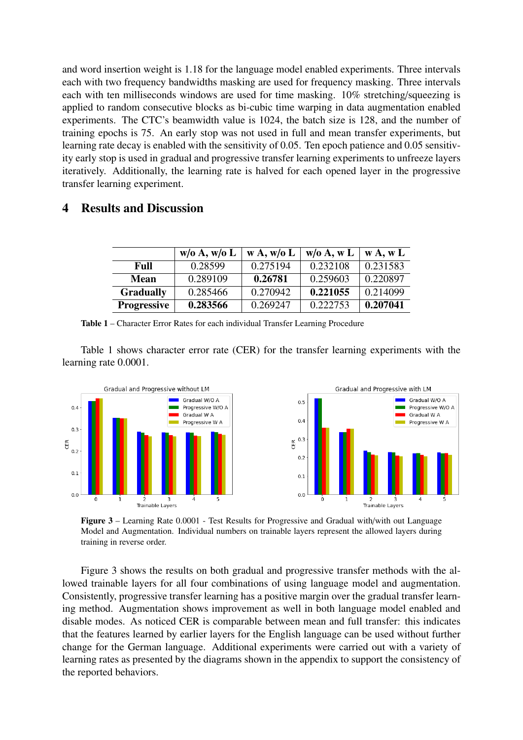and word insertion weight is 1.18 for the language model enabled experiments. Three intervals each with two frequency bandwidths masking are used for frequency masking. Three intervals each with ten milliseconds windows are used for time masking. 10% stretching/squeezing is applied to random consecutive blocks as bi-cubic time warping in data augmentation enabled experiments. The CTC's beamwidth value is 1024, the batch size is 128, and the number of training epochs is 75. An early stop was not used in full and mean transfer experiments, but learning rate decay is enabled with the sensitivity of 0.05. Ten epoch patience and 0.05 sensitivity early stop is used in gradual and progressive transfer learning experiments to unfreeze layers iteratively. Additionally, the learning rate is halved for each opened layer in the progressive transfer learning experiment.

### <span id="page-4-1"></span><span id="page-4-0"></span>4 Results and Discussion

|                    | w/o A, w/o L | W A, W/O L | w/o A, w L | W A, W L |
|--------------------|--------------|------------|------------|----------|
| Full               | 0.28599      | 0.275194   | 0.232108   | 0.231583 |
| <b>Mean</b>        | 0.289109     | 0.26781    | 0.259603   | 0.220897 |
| <b>Gradually</b>   | 0.285466     | 0.270942   | 0.221055   | 0.214099 |
| <b>Progressive</b> | 0.283566     | 0.269247   | 0.222753   | 0.207041 |

Table 1 – Character Error Rates for each individual Transfer Learning Procedure

Table [1](#page-4-1) shows character error rate (CER) for the transfer learning experiments with the learning rate 0.0001.

<span id="page-4-2"></span>

Figure 3 – Learning Rate 0.0001 - Test Results for Progressive and Gradual with/with out Language Model and Augmentation. Individual numbers on trainable layers represent the allowed layers during training in reverse order.

Figure [3](#page-4-2) shows the results on both gradual and progressive transfer methods with the allowed trainable layers for all four combinations of using language model and augmentation. Consistently, progressive transfer learning has a positive margin over the gradual transfer learning method. Augmentation shows improvement as well in both language model enabled and disable modes. As noticed CER is comparable between mean and full transfer: this indicates that the features learned by earlier layers for the English language can be used without further change for the German language. Additional experiments were carried out with a variety of learning rates as presented by the diagrams shown in the appendix to support the consistency of the reported behaviors.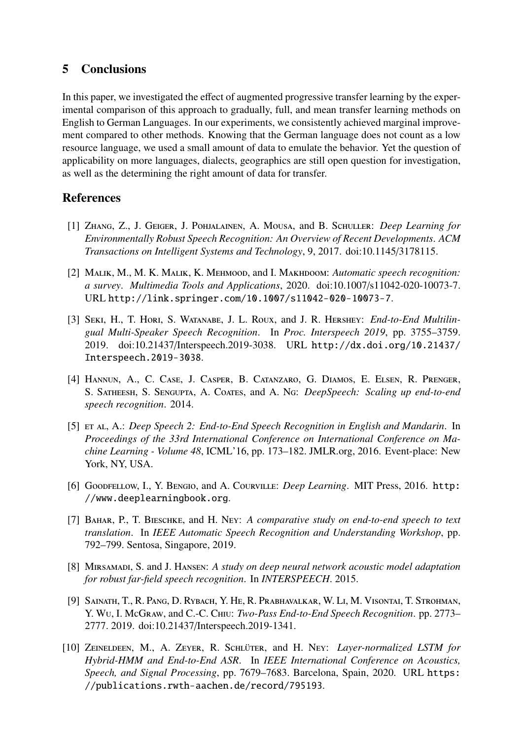### <span id="page-5-10"></span>5 Conclusions

In this paper, we investigated the effect of augmented progressive transfer learning by the experimental comparison of this approach to gradually, full, and mean transfer learning methods on English to German Languages. In our experiments, we consistently achieved marginal improvement compared to other methods. Knowing that the German language does not count as a low resource language, we used a small amount of data to emulate the behavior. Yet the question of applicability on more languages, dialects, geographics are still open question for investigation, as well as the determining the right amount of data for transfer.

### References

- <span id="page-5-0"></span>[1] Zhang, Z., J. Geiger, J. Pohjalainen, A. Mousa, and B. Schuller: *Deep Learning for Environmentally Robust Speech Recognition: An Overview of Recent Developments*. *ACM Transactions on Intelligent Systems and Technology*, 9, 2017. doi:10.1145/[3178115.](https://doi.org/10.1145/3178115)
- <span id="page-5-1"></span>[2] Malik, M., M. K. Malik, K. Mehmood, and I. Makhdoom: *Automatic speech recognition: a survey*. *Multimedia Tools and Applications*, 2020. doi:10.1007/[s11042-020-10073-7.](https://doi.org/10.1007/s11042-020-10073-7) URL <http://link.springer.com/10.1007/s11042-020-10073-7>.
- <span id="page-5-2"></span>[3] Seki, H., T. Hori, S. Watanabe, J. L. Roux, and J. R. Hershey: *End-to-End Multilingual Multi-Speaker Speech Recognition*. In *Proc. Interspeech 2019*, pp. 3755–3759. 2019. doi:10.21437/[Interspeech.2019-3038.](https://doi.org/10.21437/Interspeech.2019-3038) URL [http://dx.doi.org/10.21437/](http://dx.doi.org/10.21437/Interspeech.2019-3038) [Interspeech.2019-3038](http://dx.doi.org/10.21437/Interspeech.2019-3038).
- <span id="page-5-3"></span>[4] Hannun, A., C. Case, J. Casper, B. Catanzaro, G. Diamos, E. Elsen, R. Prenger, S. Satheesh, S. Sengupta, A. Coates, and A. Ng: *DeepSpeech: Scaling up end-to-end speech recognition*. 2014.
- <span id="page-5-4"></span>[5] et al, A.: *Deep Speech 2: End-to-End Speech Recognition in English and Mandarin*. In *Proceedings of the 33rd International Conference on International Conference on Machine Learning - Volume 48*, ICML'16, pp. 173–182. JMLR.org, 2016. Event-place: New York, NY, USA.
- <span id="page-5-5"></span>[6] Goodfellow, I., Y. Bengio, and A. Courville: *Deep Learning*. MIT Press, 2016. [http:](http://www.deeplearningbook.org) [//www.deeplearningbook.org](http://www.deeplearningbook.org).
- <span id="page-5-6"></span>[7] Bahar, P., T. Bieschke, and H. Ney: *A comparative study on end-to-end speech to text translation*. In *IEEE Automatic Speech Recognition and Understanding Workshop*, pp. 792–799. Sentosa, Singapore, 2019.
- <span id="page-5-7"></span>[8] Mirsamadi, S. and J. Hansen: *A study on deep neural network acoustic model adaptation for robust far-field speech recognition*. In *INTERSPEECH*. 2015.
- <span id="page-5-8"></span>[9] Sainath, T., R. Pang, D. Rybach, Y. He, R. Prabhavalkar, W. Li, M. Visontai, T. Strohman, Y. Wu, I. McGraw, and C.-C. Chiu: *Two-Pass End-to-End Speech Recognition*. pp. 2773– 2777. 2019. doi:10.21437/[Interspeech.2019-1341.](https://doi.org/10.21437/Interspeech.2019-1341)
- <span id="page-5-9"></span>[10] ZEINELDEEN, M., A. ZEYER, R. SCHLÜTER, and H. Ney: *Layer-normalized LSTM for Hybrid-HMM and End-to-End ASR*. In *IEEE International Conference on Acoustics, Speech, and Signal Processing*, pp. 7679–7683. Barcelona, Spain, 2020. URL [https:](https://publications.rwth-aachen.de/record/795193) [//publications.rwth-aachen.de/record/795193](https://publications.rwth-aachen.de/record/795193).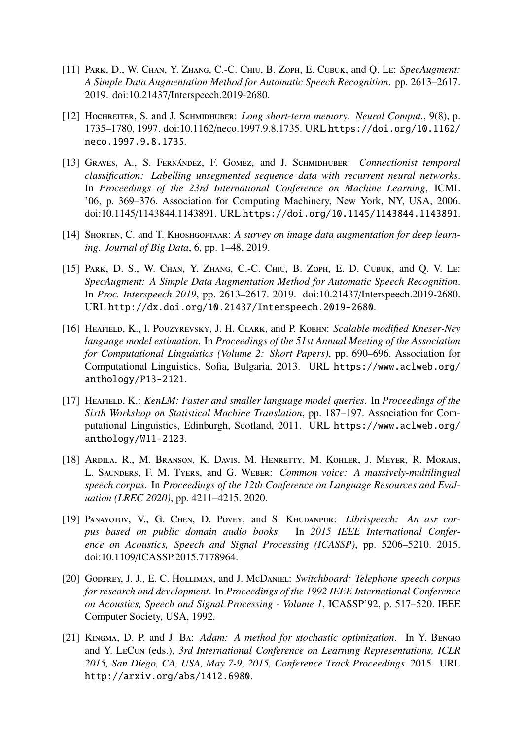- <span id="page-6-0"></span>[11] Park, D., W. Chan, Y. Zhang, C.-C. Chiu, B. Zoph, E. Cubuk, and Q. Le: *SpecAugment: A Simple Data Augmentation Method for Automatic Speech Recognition*. pp. 2613–2617. 2019. doi:10.21437/[Interspeech.2019-2680.](https://doi.org/10.21437/Interspeech.2019-2680)
- <span id="page-6-1"></span>[12] Hochreiter, S. and J. Schmidhuber: *Long short-term memory*. *Neural Comput.*, 9(8), p. 1735–1780, 1997. doi:10.1162/[neco.1997.9.8.1735.](https://doi.org/10.1162/neco.1997.9.8.1735) URL [https://doi.org/10.1162/](https://doi.org/10.1162/neco.1997.9.8.1735) [neco.1997.9.8.1735](https://doi.org/10.1162/neco.1997.9.8.1735).
- <span id="page-6-2"></span>[13] GRAVES, A., S. FERNÁNDEZ, F. GOMEZ, and J. SCHMIDHUBER: *Connectionist temporal classification: Labelling unsegmented sequence data with recurrent neural networks*. In *Proceedings of the 23rd International Conference on Machine Learning*, ICML '06, p. 369–376. Association for Computing Machinery, New York, NY, USA, 2006. doi:10.1145/[1143844.1143891.](https://doi.org/10.1145/1143844.1143891) URL <https://doi.org/10.1145/1143844.1143891>.
- <span id="page-6-3"></span>[14] SHORTEN, C. and T. KHOSHGOFTAAR: A survey on image data augmentation for deep learn*ing*. *Journal of Big Data*, 6, pp. 1–48, 2019.
- <span id="page-6-4"></span>[15] PARK, D. S., W. CHAN, Y. ZHANG, C.-C. CHIU, B. ZOPH, E. D. CUBUK, and Q. V. LE: *SpecAugment: A Simple Data Augmentation Method for Automatic Speech Recognition*. In *Proc. Interspeech 2019*, pp. 2613–2617. 2019. doi:10.21437/[Interspeech.2019-2680.](https://doi.org/10.21437/Interspeech.2019-2680) URL <http://dx.doi.org/10.21437/Interspeech.2019-2680>.
- <span id="page-6-5"></span>[16] Heafield, K., I. Pouzyrevsky, J. H. Clark, and P. Koehn: *Scalable modified Kneser-Ney language model estimation*. In *Proceedings of the 51st Annual Meeting of the Association for Computational Linguistics (Volume 2: Short Papers)*, pp. 690–696. Association for Computational Linguistics, Sofia, Bulgaria, 2013. URL [https://www.aclweb.org/](https://www.aclweb.org/anthology/P13-2121) [anthology/P13-2121](https://www.aclweb.org/anthology/P13-2121).
- <span id="page-6-6"></span>[17] Heafield, K.: *KenLM: Faster and smaller language model queries*. In *Proceedings of the Sixth Workshop on Statistical Machine Translation*, pp. 187–197. Association for Computational Linguistics, Edinburgh, Scotland, 2011. URL [https://www.aclweb.org/](https://www.aclweb.org/anthology/W11-2123) [anthology/W11-2123](https://www.aclweb.org/anthology/W11-2123).
- <span id="page-6-7"></span>[18] Ardila, R., M. Branson, K. Davis, M. Henretty, M. Kohler, J. Meyer, R. Morais, L. Saunders, F. M. Tyers, and G. Weber: *Common voice: A massively-multilingual speech corpus*. In *Proceedings of the 12th Conference on Language Resources and Evaluation (LREC 2020)*, pp. 4211–4215. 2020.
- <span id="page-6-8"></span>[19] Panayotov, V., G. Chen, D. Povey, and S. Khudanpur: *Librispeech: An asr corpus based on public domain audio books*. In *2015 IEEE International Conference on Acoustics, Speech and Signal Processing (ICASSP)*, pp. 5206–5210. 2015. doi:10.1109/[ICASSP.2015.7178964.](https://doi.org/10.1109/ICASSP.2015.7178964)
- <span id="page-6-9"></span>[20] Godfrey, J. J., E. C. Holliman, and J. McDaniel: *Switchboard: Telephone speech corpus for research and development*. In *Proceedings of the 1992 IEEE International Conference on Acoustics, Speech and Signal Processing - Volume 1*, ICASSP'92, p. 517–520. IEEE Computer Society, USA, 1992.
- <span id="page-6-10"></span>[21] Kingma, D. P. and J. Ba: *Adam: A method for stochastic optimization*. In Y. Bengio and Y. LeCun (eds.), *3rd International Conference on Learning Representations, ICLR 2015, San Diego, CA, USA, May 7-9, 2015, Conference Track Proceedings*. 2015. URL <http://arxiv.org/abs/1412.6980>.